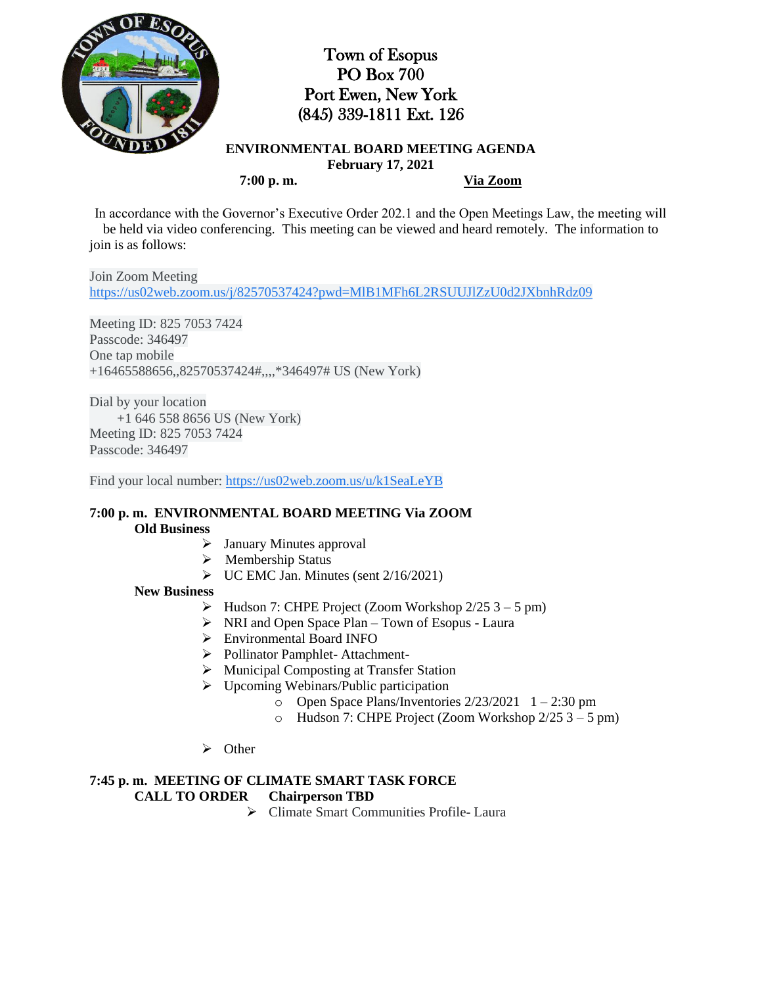

## Town of Esopus PO Box 700 Port Ewen, New York (845) 339-1811 Ext. 126

**ENVIRONMENTAL BOARD MEETING AGENDA February 17, 2021 7:00 p. m. Via Zoom**

In accordance with the Governor's Executive Order 202.1 and the Open Meetings Law, the meeting will be held via video conferencing. This meeting can be viewed and heard remotely. The information to join is as follows:

Join Zoom Meeting [https://us02web.zoom.us/j/82570537424?pwd=MlB1MFh6L2RSUUJlZzU0d2JXbnhRdz09](https://www.google.com/url?q=https://us02web.zoom.us/j/82570537424?pwd%3DMlB1MFh6L2RSUUJlZzU0d2JXbnhRdz09&sa=D&source=calendar&ust=1614004715425000&usg=AOvVaw0D8EVkwy3IOnQVt-0NBix2)

Meeting ID: 825 7053 7424 Passcode: 346497 One tap mobile +16465588656,,82570537424#,,,,\*346497# US (New York)

Dial by your location +1 646 558 8656 US (New York) Meeting ID: 825 7053 7424 Passcode: 346497

Find your local number: [https://us02web.zoom.us/u/k1SeaLeYB](https://www.google.com/url?q=https://us02web.zoom.us/u/k1SeaLeYB&sa=D&source=calendar&ust=1614004715425000&usg=AOvVaw3caHqbOC2K2NE0uiOBRAOg)

# **7:00 p. m. ENVIRONMENTAL BOARD MEETING Via ZOOM**

### **Old Business**

- $\triangleright$  January Minutes approval
- $\triangleright$  Membership Status
- $\triangleright$  UC EMC Jan. Minutes (sent 2/16/2021)

#### **New Business**

- $\triangleright$  Hudson 7: CHPE Project (Zoom Workshop 2/25 3 5 pm)
- $\triangleright$  NRI and Open Space Plan Town of Esopus Laura
- Environmental Board INFO
- Pollinator Pamphlet- Attachment-
- Municipal Composting at Transfer Station
- $\triangleright$  Upcoming Webinars/Public participation
	- $\degree$  Open Space Plans/Inventories 2/23/2021 1 2:30 pm
	- o Hudson 7: CHPE Project (Zoom Workshop 2/25 3 5 pm)
- $\triangleright$  Other

### **7:45 p. m. MEETING OF CLIMATE SMART TASK FORCE**

## **CALL TO ORDER Chairperson TBD**

Climate Smart Communities Profile- Laura